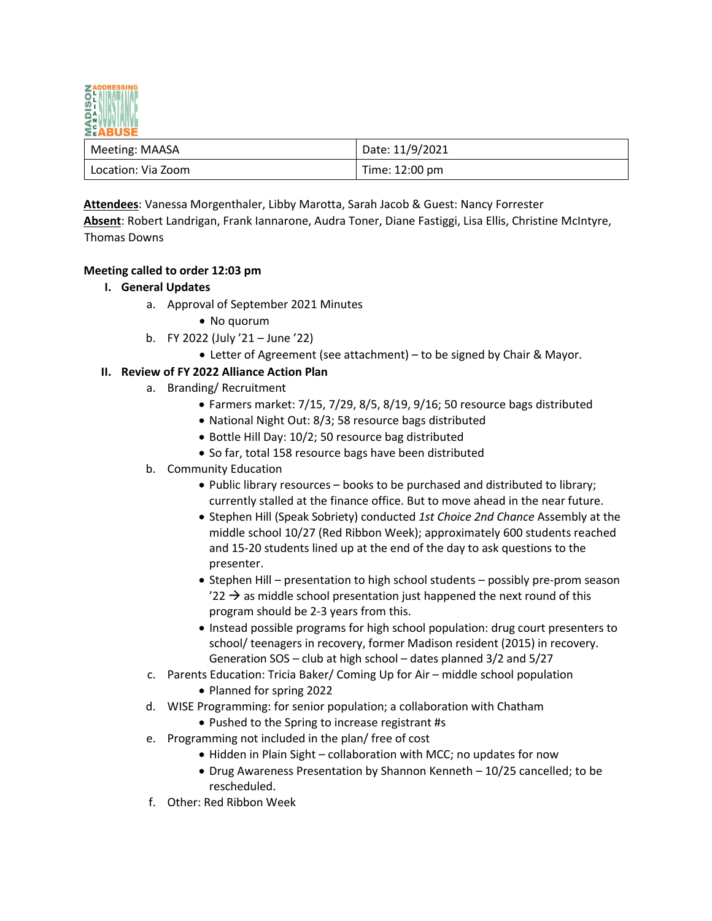

| Meeting: MAASA     | Date: 11/9/2021 |
|--------------------|-----------------|
| Location: Via Zoom | Time: 12:00 pm  |

**Attendees**: Vanessa Morgenthaler, Libby Marotta, Sarah Jacob & Guest: Nancy Forrester **Absent**: Robert Landrigan, Frank Iannarone, Audra Toner, Diane Fastiggi, Lisa Ellis, Christine McIntyre, Thomas Downs

## **Meeting called to order 12:03 pm**

- **I. General Updates**
	- a. Approval of September 2021 Minutes
		- No quorum
	- b. FY 2022 (July '21 June '22)
		- Letter of Agreement (see attachment) to be signed by Chair & Mayor.

## **II. Review of FY 2022 Alliance Action Plan**

- a. Branding/ Recruitment
	- Farmers market: 7/15, 7/29, 8/5, 8/19, 9/16; 50 resource bags distributed
	- National Night Out: 8/3; 58 resource bags distributed
	- Bottle Hill Day: 10/2; 50 resource bag distributed
	- So far, total 158 resource bags have been distributed
- b. Community Education
	- Public library resources books to be purchased and distributed to library; currently stalled at the finance office. But to move ahead in the near future.
	- Stephen Hill (Speak Sobriety) conducted *1st Choice 2nd Chance* Assembly at the middle school 10/27 (Red Ribbon Week); approximately 600 students reached and 15-20 students lined up at the end of the day to ask questions to the presenter.
	- Stephen Hill presentation to high school students possibly pre-prom season  $'22 \rightarrow$  as middle school presentation just happened the next round of this program should be 2-3 years from this.
	- Instead possible programs for high school population: drug court presenters to school/ teenagers in recovery, former Madison resident (2015) in recovery. Generation SOS – club at high school – dates planned 3/2 and 5/27
- c. Parents Education: Tricia Baker/ Coming Up for Air middle school population • Planned for spring 2022
- d. WISE Programming: for senior population; a collaboration with Chatham
	- Pushed to the Spring to increase registrant #s
- e. Programming not included in the plan/ free of cost
	- Hidden in Plain Sight collaboration with MCC; no updates for now
	- Drug Awareness Presentation by Shannon Kenneth 10/25 cancelled; to be rescheduled.
- f. Other: Red Ribbon Week